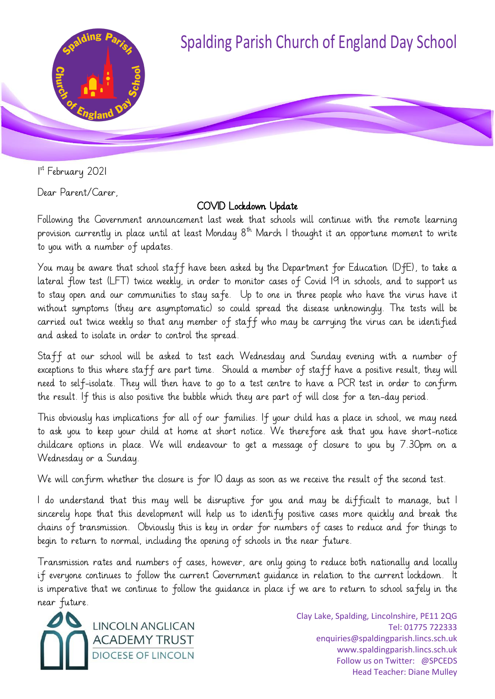

1 st February 2021

Dear Parent/Carer,

## COVID Lockdown Update

Following the Government announcement last week that schools will continue with the remote learning provision currently in place until at least Monday  $8<sup>th</sup>$  March I thought it an opportune moment to write to you with a number of updates.

You may be aware that school staff have been asked by the Department for Education (DfE), to take a lateral flow test (LFT) twice weekly, in order to monitor cases of Covid 19 in schools, and to support us to stay open and our communities to stay safe. Up to one in three people who have the virus have it without symptoms (they are asymptomatic) so could spread the disease unknowingly. The tests will be carried out twice weekly so that any member of staff who may be carrying the virus can be identified and asked to isolate in order to control the spread.

Staff at our school will be asked to test each Wednesday and Sunday evening with a number of exceptions to this where staff are part time. Should a member of staff have a positive result, they will need to self-isolate. They will then have to go to a test centre to have a PCR test in order to confirm the result. If this is also positive the bubble which they are part of will close for a ten-day period.

This obviously has implications for all of our families. If your child has a place in school, we may need to ask you to keep your child at home at short notice. We therefore ask that you have short-notice childcare options in place. We will endeavour to get a message of closure to you by 7.30pm on a Wednesday or a Sunday.

We will confirm whether the closure is for 10 days as soon as we receive the result of the second test.

I do understand that this may well be disruptive for you and may be difficult to manage, but I sincerely hope that this development will help us to identify positive cases more quickly and break the chains of transmission. Obviously this is key in order for numbers of cases to reduce and for things to begin to return to normal, including the opening of schools in the near future.

Transmission rates and numbers of cases, however, are only going to reduce both nationally and locally if everyone continues to follow the current Government guidance in relation to the current lockdown. It is imperative that we continue to follow the guidance in place if we are to return to school safely in the near future.



Clay Lake, Spalding, Lincolnshire, PE11 2QG Tel: 01775 722333 enquiries@spaldingparish.lincs.sch.uk www.spaldingparish.lincs.sch.uk Follow us on Twitter: @SPCEDS Head Teacher: Diane Mulley